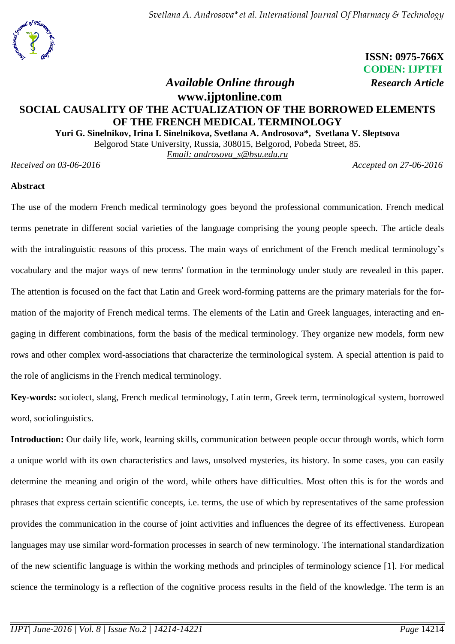*Svetlana A. Androsova\*et al. International Journal Of Pharmacy & Technology*



 **ISSN: 0975-766X CODEN: IJPTFI**  *Available Online through Research Article*

# **www.ijptonline.com SOCIAL CAUSALITY OF THE ACTUALIZATION OF THE BORROWED ELEMENTS OF THE FRENCH MEDICAL TERMINOLOGY**

**Yuri G. Sinelnikov, Irina I. Sinelnikova, Svetlana A. Androsova\*, Svetlana V. Sleptsova**

Belgorod State University, Russia, 308015, Belgorod, Pobeda Street, 85. *Email: [androsova\\_s@bsu.edu.ru](mailto:androsova_s@bsu.edu.ru)*

*Received on 03-06-2016 Accepted on 27-06-2016*

## **Abstract**

The use of the modern French medical terminology goes beyond the professional communication. French medical terms penetrate in different social varieties of the language comprising the young people speech. The article deals with the intralinguistic reasons of this process. The main ways of enrichment of the French medical terminology's vocabulary and the major ways of new terms' formation in the terminology under study are revealed in this paper. The attention is focused on the fact that Latin and Greek word-forming patterns are the primary materials for the formation of the majority of French medical terms. The elements of the Latin and Greek languages, interacting and engaging in different combinations, form the basis of the medical terminology. They organize new models, form new rows and other complex word-associations that characterize the terminological system. A special attention is paid to the role of anglicisms in the French medical terminology.

**Key-words:** sociolect, slang, French medical terminology, Latin term, Greek term, terminological system, borrowed word, sociolinguistics.

**Introduction:** Our daily life, work, learning skills, communication between people occur through words, which form a unique world with its own characteristics and laws, unsolved mysteries, its history. In some cases, you can easily determine the meaning and origin of the word, while others have difficulties. Most often this is for the words and phrases that express certain scientific concepts, i.e. terms, the use of which by representatives of the same profession provides the communication in the course of joint activities and influences the degree of its effectiveness. European languages may use similar word-formation processes in search of new terminology. The international standardization of the new scientific language is within the working methods and principles of terminology science [1]. For medical science the terminology is a reflection of the cognitive process results in the field of the knowledge. The term is an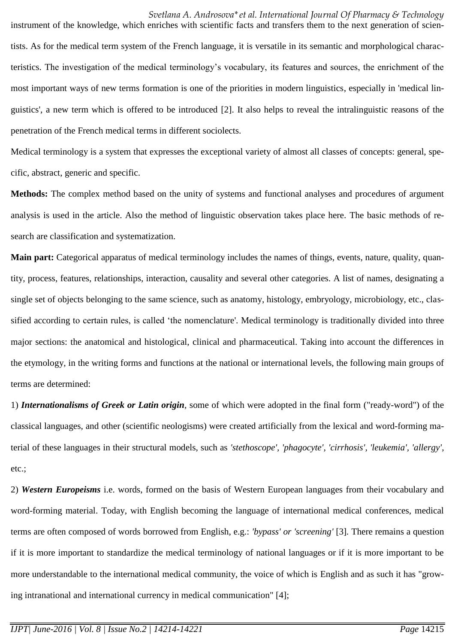instrument of the knowledge, which enriches with scientific facts and transfers them to the next generation of scientists. As for the medical term system of the French language, it is versatile in its semantic and morphological characteristics. The investigation of the medical terminology's vocabulary, its features and sources, the enrichment of the most important ways of new terms formation is one of the priorities in modern linguistics, especially in 'medical linguistics', a new term which is offered to be introduced [2]. It also helps to reveal the intralinguistic reasons of the penetration of the French medical terms in different sociolects.

Medical terminology is a system that expresses the exceptional variety of almost all classes of concepts: general, specific, abstract, generic and specific.

**Methods:** The complex method based on the unity of systems and functional analyses and procedures of argument analysis is used in the article. Also the method of linguistic observation takes place here. The basic methods of research are classification and systematization.

**Main part:** Categorical apparatus of medical terminology includes the names of things, events, nature, quality, quantity, process, features, relationships, interaction, causality and several other categories. A list of names, designating a single set of objects belonging to the same science, such as anatomy, histology, embryology, microbiology, etc., classified according to certain rules, is called 'the nomenclature'. Medical terminology is traditionally divided into three major sections: the anatomical and histological, clinical and pharmaceutical. Taking into account the differences in the etymology, in the writing forms and functions at the national or international levels, the following main groups of terms are determined:

1) *Internationalisms of Greek or Latin origin*, some of which were adopted in the final form ("ready-word") of the classical languages, and other (scientific neologisms) were created artificially from the lexical and word-forming material of these languages in their structural models, such as *'stethoscope', 'phagocyte', 'cirrhosis', 'leukemia', 'allergy'*, etc.;

2) *Western Europeisms* i.e. words, formed on the basis of Western European languages from their vocabulary and word-forming material. Today, with English becoming the language of international medical conferences, medical terms are often composed of words borrowed from English, e.g.: *'bypass' or 'screening'* [3]*.* There remains a question if it is more important to standardize the medical terminology of national languages or if it is more important to be more understandable to the international medical community, the voice of which is English and as such it has "growing intranational and international currency in medical communication" [4];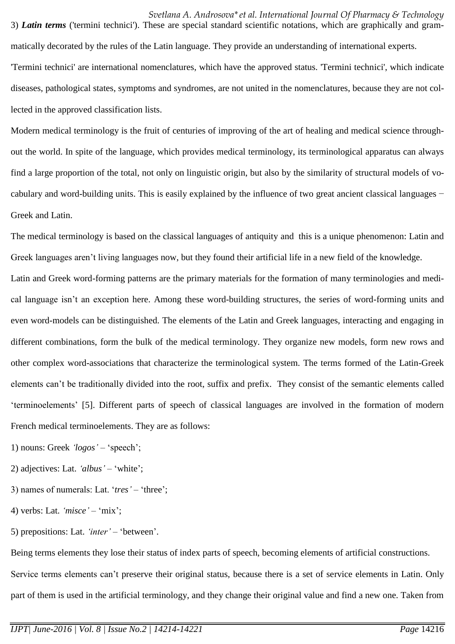matically decorated by the rules of the Latin language. They provide an understanding of international experts. 'Termini technici' are international nomenclatures, which have the approved status. 'Termini technici', which indicate diseases, pathological states, symptoms and syndromes, are not united in the nomenclatures, because they are not collected in the approved classification lists.

Modern medical terminology is the fruit of centuries of improving of the art of healing and medical science throughout the world. In spite of the language, which provides medical terminology, its terminological apparatus can always find a large proportion of the total, not only on linguistic origin, but also by the similarity of structural models of vocabulary and word-building units. This is easily explained by the influence of two great ancient classical languages − Greek and Latin.

The medical terminology is based on the classical languages of antiquity and this is a unique phenomenon: Latin and Greek languages aren't living languages now, but they found their artificial life in a new field of the knowledge. Latin and Greek word-forming patterns are the primary materials for the formation of many terminologies and medical language isn't an exception here. Among these word-building structures, the series of word-forming units and even word-models can be distinguished. The elements of the Latin and Greek languages, interacting and engaging in different combinations, form the bulk of the medical terminology. They organize new models, form new rows and other complex word-associations that characterize the terminological system. The terms formed of the Latin-Greek elements can't be traditionally divided into the root, suffix and prefix. They consist of the semantic elements called 'terminoelements' [5]. Different parts of speech of classical languages are involved in the formation of modern French medical terminoelements. They are as follows:

1) nouns: Greek *'logos' –* 'speech';

- 2) adjectives: Lat. *'albus' –* 'white';
- 3) names of numerals: Lat. '*tres' –* 'three';
- 4) verbs: Lat. *'misce' –* 'mix';
- 5) prepositions: Lat. *'inter' –* 'between'.

Being terms elements they lose their status of index parts of speech, becoming elements of artificial constructions. Service terms elements can't preserve their original status, because there is a set of service elements in Latin. Only part of them is used in the artificial terminology, and they change their original value and find a new one. Taken from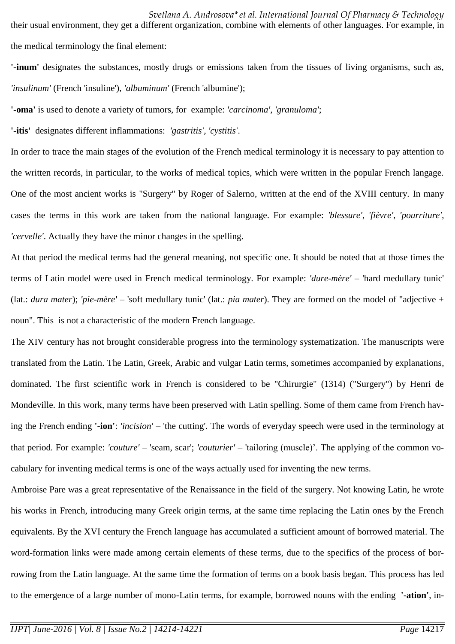*Svetlana A. Androsova\*et al. International Journal Of Pharmacy & Technology* their usual environment, they get a different organization, combine with elements of other languages. For example, in the medical terminology the final element:

**'-inum'** designates the substances, mostly drugs or emissions taken from the tissues of living organisms, such as,

*'insulinum'* (French 'insuline'), *'albuminum'* (French 'albumine');

**'-oma'** is used to denote a variety of tumors, for example: *'carcinoma'*, *'granuloma'*;

**'-itis'** designates different inflammations: *'gastritis', 'cystitis'*.

In order to trace the main stages of the evolution of the French medical terminology it is necessary to pay attention to the written records, in particular, to the works of medical topics, which were written in the popular French langage. One of the most ancient works is "Surgery" by Roger of Salerno, written at the end of the XVIII century. In many cases the terms in this work are taken from the national language. For example: *'blessure'*, *'fièvre'*, *'pourriture'*, *'cervelle'*. Actually they have the minor changes in the spelling.

At that period the medical terms had the general meaning, not specific one. It should be noted that at those times the terms of Latin model were used in French medical terminology. For example: *'dure-mère' –* 'hard medullary tunic' (lat.: *dura mater*); *'pie-mère' –* 'soft medullary tunic' (lat.: *pia mater*). They are formed on the model of "adjective + noun". This is not a characteristic of the modern French language.

The XIV century has not brought considerable progress into the terminology systematization. The manuscripts were translated from the Latin. The Latin, Greek, Arabic and vulgar Latin terms, sometimes accompanied by explanations, dominated. The first scientific work in French is considered to be "Chirurgie" (1314) ("Surgery") by Henri de Mondeville. In this work, many terms have been preserved with Latin spelling. Some of them came from French having the French ending **'-ion'**: *'incision' –* 'the cutting'. The words of everyday speech were used in the terminology at that period. For example: *'couture' –* 'seam, scar'; *'couturier' –* 'tailoring (muscle)'. The applying of the common vocabulary for inventing medical terms is one of the ways actually used for inventing the new terms.

Ambroise Pare was a great representative of the Renaissance in the field of the surgery. Not knowing Latin, he wrote his works in French, introducing many Greek origin terms, at the same time replacing the Latin ones by the French equivalents. By the XVI century the French language has accumulated a sufficient amount of borrowed material. The word-formation links were made among certain elements of these terms, due to the specifics of the process of borrowing from the Latin language. At the same time the formation of terms on a book basis began. This process has led to the emergence of a large number of mono-Latin terms, for example, borrowed nouns with the ending **'-ation'**, in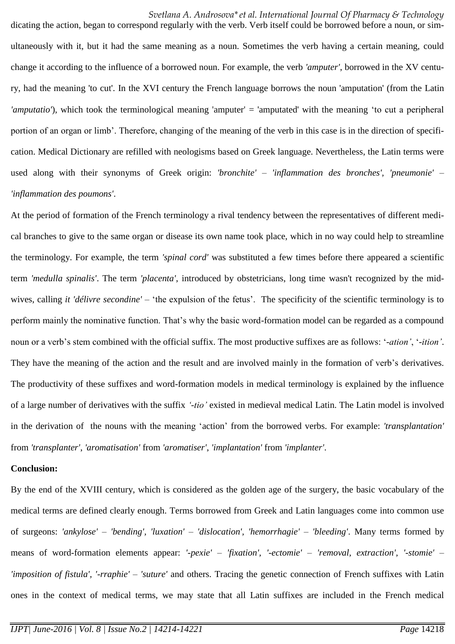dicating the action, began to correspond regularly with the verb. Verb itself could be borrowed before a noun, or simultaneously with it, but it had the same meaning as a noun. Sometimes the verb having a certain meaning, could change it according to the influence of a borrowed noun. For example, the verb *'amputer'*, borrowed in the XV century, had the meaning 'to cut'. In the XVI century the French language borrows the noun 'amputation' (from the Latin *'amputatio'*), which took the terminological meaning 'amputer' = 'amputated' with the meaning 'to cut a peripheral portion of an organ or limb'. Therefore, changing of the meaning of the verb in this case is in the direction of specification. Medical Dictionary are refilled with neologisms based on Greek language. Nevertheless, the Latin terms were used along with their synonyms of Greek origin: *'bronchite' – 'inflammation des bronches', 'pneumonie' – 'inflammation des poumons'*.

At the period of formation of the French terminology a rival tendency between the representatives of different medical branches to give to the same organ or disease its own name took place, which in no way could help to streamline the terminology. For example, the term *'spinal cord'* was substituted a few times before there appeared a scientific term *'medulla spinalis'*. The term *'placenta'*, introduced by obstetricians, long time wasn't recognized by the midwives, calling *it* '*délivre secondine'* – 'the expulsion of the fetus'. The specificity of the scientific terminology is to perform mainly the nominative function. That's why the basic word-formation model can be regarded as a compound noun or a verb's stem combined with the official suffix. The most productive suffixes are as follows: '-*ation'*, '-*ition'*. They have the meaning of the action and the result and are involved mainly in the formation of verb's derivatives. The productivity of these suffixes and word-formation models in medical terminology is explained by the influence of a large number of derivatives with the suffix *'-tio'* existed in medieval medical Latin. The Latin model is involved in the derivation of the nouns with the meaning 'action' from the borrowed verbs. For example: *'transplantation'* from *'transplanter'*, *'aromatisation'* from *'aromatiser'*, *'implantation'* from *'implanter'*.

## **Conclusion:**

By the end of the XVIII century, which is considered as the golden age of the surgery, the basic vocabulary of the medical terms are defined clearly enough. Terms borrowed from Greek and Latin languages come into common use of surgeons: *'ankylose' – 'bending', 'luxation' – 'dislocation', 'hemorrhagie' – 'bleeding'*. Many terms formed by means of word-formation elements appear: *'-pexie' – 'fixation', '-ectomie' – 'removal, extraction', '-stomie' – 'imposition of fistula', '-rraphie' – 'suture'* and others. Tracing the genetic connection of French suffixes with Latin ones in the context of medical terms, we may state that all Latin suffixes are included in the French medical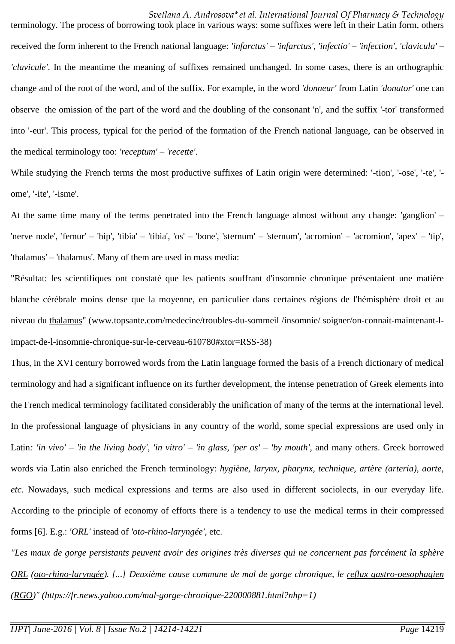*Svetlana A. Androsova\*et al. International Journal Of Pharmacy & Technology* terminology. The process of borrowing took place in various ways: some suffixes were left in their Latin form, others received the form inherent to the French national language: *'infarctus' – 'infarctus', 'infectio' – 'infection', 'clavicula' – 'clavicule'*. In the meantime the meaning of suffixes remained unchanged. In some cases, there is an orthographic change and of the root of the word, and of the suffix. For example, in the word *'donneur'* from Latin *'donator'* one can observe the omission of the part of the word and the doubling of the consonant 'n', and the suffix '-tor' transformed into '-eur'. This process, typical for the period of the formation of the French national language, can be observed in the medical terminology too: *'receptum' – 'recette'*.

While studying the French terms the most productive suffixes of Latin origin were determined: '-tion', '-ose', '-te', ' ome', '-ite', '-isme'.

At the same time many of the terms penetrated into the French language almost without any change: 'ganglion' – 'nerve node', 'femur' – 'hip', 'tibia' – 'tibia', 'os' – 'bone', 'sternum' – 'sternum', 'acromion' – 'acromion', 'apex' – 'tip', 'thalamus' – 'thalamus'. Many of them are used in mass media:

"Résultat: les scientifiques ont constaté que les patients souffrant d'insomnie chronique présentaient une matière blanche cérébrale moins dense que la moyenne, en particulier dans certaines régions de l'hémisphère droit et au niveau du thalamus" (www.topsante.com/medecine/troubles-du-sommeil /insomnie/ soigner/on-connait-maintenant-limpact-de-l-insomnie-chronique-sur-le-cerveau-610780#xtor=RSS-38)

Thus, in the XVI century borrowed words from the Latin language formed the basis of a French dictionary of medical terminology and had a significant influence on its further development, the intense penetration of Greek elements into the French medical terminology facilitated considerably the unification of many of the terms at the international level. In the professional language of physicians in any country of the world, some special expressions are used only in Latin*: 'in vivo' – 'in the living body', 'in vitro' – 'in glass, 'per os' – 'by mouth'*, and many others. Greek borrowed words via Latin also enriched the French terminology: *hygiène, larynx, pharynx, technique, artère (arteria), aorte, etc.* Nowadays, such medical expressions and terms are also used in different sociolects, in our everyday life. According to the principle of economy of efforts there is a tendency to use the medical terms in their compressed forms [6]. E.g.: *'ORL'* instead of *'oto-rhino-laryngée'*, etc.

*"Les maux de gorge persistants peuvent avoir des origines très diverses qui ne concernent pas forcément la sphère ORL (oto-rhino-laryngée). [...] Deuxième cause commune de mal de gorge chronique, le [reflux gastro-oesophagien](http://www.doctissimo.fr/html/dossiers/rgo.htm) (RGO)" (https://fr.news.yahoo.com/mal-gorge-chronique-220000881.html?nhp=1)*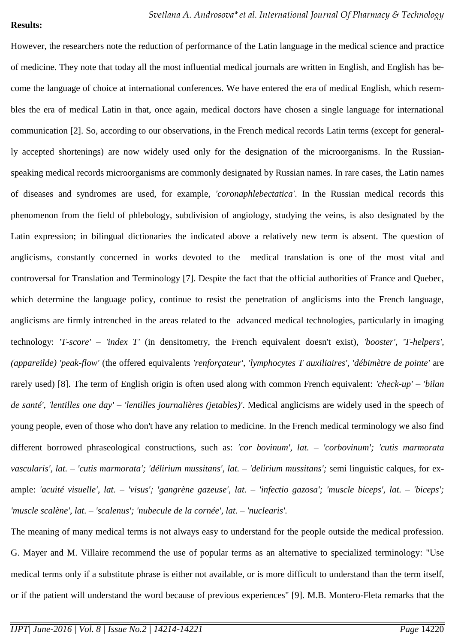### **Results:**

However, the researchers note the reduction of performance of the Latin language in the medical science and practice of medicine. They note that today all the most influential medical journals are written in English, and English has become the language of choice at international conferences. We have entered the era of medical English, which resembles the era of medical Latin in that, once again, medical doctors have chosen a single language for international communication [2]. So, according to our observations, in the French medical records Latin terms (except for generally accepted shortenings) are now widely used only for the designation of the microorganisms. In the Russianspeaking medical records microorganisms are commonly designated by Russian names. In rare cases, the Latin names of diseases and syndromes are used, for example, *'coronaphlebectatica'*. In the Russian medical records this phenomenon from the field of phlebology, subdivision of angiology, studying the veins, is also designated by the Latin expression; in bilingual dictionaries the indicated above a relatively new term is absent. The question of anglicisms, constantly concerned in works devoted to the medical translation is one of the most vital and controversal for Translation and Terminology [7]. Despite the fact that the official authorities of France and Quebec, which determine the language policy, continue to resist the penetration of anglicisms into the French language, anglicisms are firmly intrenched in the areas related to the advanced medical technologies, particularly in imaging technology: *'T-score' – 'index T'* (in densitometry, the French equivalent doesn't exist), *'booster', 'T-helpers', (appareilde) 'peak-flow'* (the offered equivalents *'renforçateur', 'lymphocytes T auxiliaires', 'débimètre de pointe'* are rarely used) [8]. The term of English origin is often used along with common French equivalent: *'check-up' – 'bilan de santé', 'lentilles one day' – 'lentilles journalières (jetables)'*. Medical anglicisms are widely used in the speech of young people, even of those who don't have any relation to medicine. In the French medical terminology we also find different borrowed phraseological constructions, such as: *'cor bovinum', lat. – 'corbovinum'; 'cutis marmorata vascularis', lat. – 'cutis marmorata'; 'délirium mussitans', lat. – 'delirium mussitans';* semi linguistic calques, for example: *'acuité visuelle', lat. – 'visus'; 'gangrène gazeuse', lat. – 'infectio gazosa'; 'muscle biceps', lat. – 'biceps'; 'muscle scalène', lat. – 'scalenus'; 'nubecule de la cornée', lat. – 'nuclearis'.*

The meaning of many medical terms is not always easy to understand for the people outside the medical profession. G. Mayer and M. Villaire recommend the use of popular terms as an alternative to specialized terminology: "Use medical terms only if a substitute phrase is either not available, or is more difficult to understand than the term itself, or if the patient will understand the word because of previous experiences" [9]. M.B. Montero-Fleta remarks that the